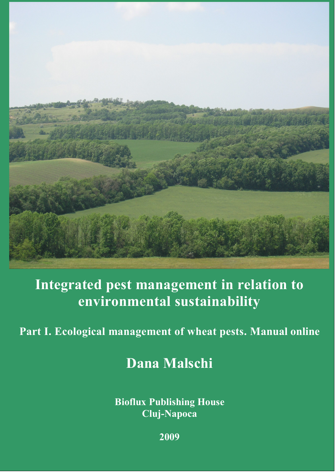

## **Integrated pest management in relation to environmental sustainability**

## **Part I. Ecological management of wheat pests. Manual online**

**Dana Malschi**

**Bioflux Publishing House Cluj-Napoca**

**2009**